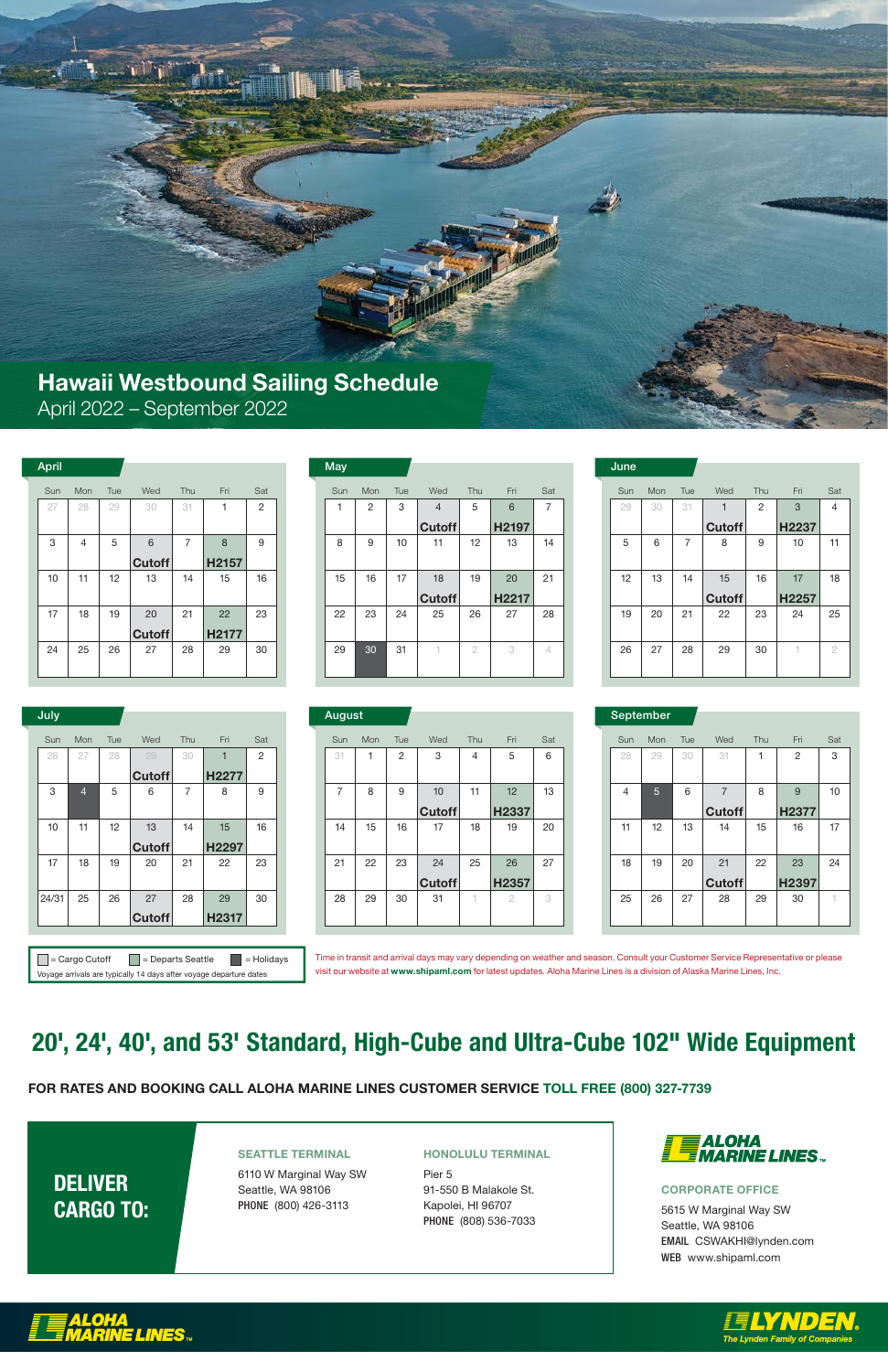# 20', 24', 40', and 53' Standard, High-Cube and Ultra-Cube 102" Wide Equipment

### Hawaii Westbound Sailing Schedule April 2022 – September 2022

### FOR RATES AND BOOKING CALL ALOHA MARINE LINES CUSTOMER SERVICE TOLL FREE (800) 327-7739

## DELIVER CARGO TO:

#### SEATTLE TERMINAL

6110 W Marginal Way SW Seattle, WA 98106 PHONE (800) 426-3113

#### HONOLULU TERMINAL

Pier 5 91-550 B Malakole St. Kapolei, HI 96707 PHONE (808) 536-7033



#### CORPORATE OFFICE

5615 W Marginal Way SW Seattle, WA 98106 EMAIL CSWAKHI@lynden.com WEB www.shipaml.com





 $\Box$  = Cargo Cutoff  $\Box$  = Departs Seattle  $\Box$  = Holidays Voyage arrivals are typically 14 days after voyage departure dates

| July  |                |     |               |                |       |                | August         |     |     |               |               |                |     | September |                |
|-------|----------------|-----|---------------|----------------|-------|----------------|----------------|-----|-----|---------------|---------------|----------------|-----|-----------|----------------|
| Sun   | <b>Mon</b>     | Tue | Wed           | Thu            | Fri   | Sat            | Sun            | Mon | Tue | Wed           | <b>Thu</b>    | Fri            | Sat | Sun       | Mon            |
| 26    | 27             | 28  | 29            | 30             |       | $\overline{2}$ | 31             |     | 2   | 3             | 4             | 5              | 6   | 28        | 29             |
|       |                |     | <b>Cutoff</b> |                | H2277 |                |                |     |     |               |               |                |     |           |                |
| 3     | $\overline{4}$ | 5   | 6             | $\overline{7}$ | 8     | 9              | $\overline{ }$ | 8   | 9   | 10            | 11            | 12             | 13  | 4         | 5 <sup>5</sup> |
|       |                |     |               |                |       |                |                |     |     | <b>Cutoff</b> |               | H2337          |     |           |                |
| 10    | 11             | 12  | 13            | 14             | 15    | 16             | 14             | 15  | 16  | 17            | 18            | 19             | 20  | 11        | 12             |
|       |                |     | <b>Cutoff</b> |                | H2297 |                |                |     |     |               |               |                |     |           |                |
| 17    | 18             | 19  | 20            | 21             | 22    | 23             | 21             | 22  | 23  | 24            | 25            | 26             | 27  | 18        | 19             |
|       |                |     |               |                |       |                |                |     |     | <b>Cutoff</b> |               | H2357          |     |           |                |
| 24/31 | 25             | 26  | 27            | 28             | 29    | 30             | 28             | 29  | 30  | 31            | $\rightarrow$ | $\overline{2}$ | 3   | 25        | 26             |
|       |                |     | <b>Cutoff</b> |                | H2317 |                |                |     |     |               |               |                |     |           |                |

| July  |                |     |               |     |       |     |
|-------|----------------|-----|---------------|-----|-------|-----|
| Sun   | Mon            | Tue | Wed           | Thu | Fri   | Sat |
| 26    | 27             | 28  | 29            | 30  | 1     | 2   |
|       |                |     | <b>Cutoff</b> |     | H2277 |     |
| 3     | $\overline{4}$ | 5   | 6             | 7   | 8     | 9   |
|       |                |     |               |     |       |     |
| 10    | 11             | 12  | 13            | 14  | 15    | 16  |
|       |                |     | <b>Cutoff</b> |     | H2297 |     |
| 17    | 18             | 19  | 20            | 21  | 22    | 23  |
|       |                |     |               |     |       |     |
| 24/31 | 25             | 26  | 27            | 28  | 29    | 30  |
|       |                |     | <b>Cutoff</b> |     | H2317 |     |

|               | September      |                |     |  |                |     |     |                |     |                |     |  |  |  |
|---------------|----------------|----------------|-----|--|----------------|-----|-----|----------------|-----|----------------|-----|--|--|--|
| Wed           | Thu            | Fri            | Sat |  | Sun            | Mon | Tue | Wed            | Thu | Fri            | Sat |  |  |  |
| 3             | $\overline{4}$ | 5              | 6   |  | 28             | 29  | 30  | 31             | 1   | $\overline{2}$ | 3   |  |  |  |
|               |                |                |     |  |                |     |     |                |     |                |     |  |  |  |
| 10            | 11             | 12             | 13  |  | $\overline{4}$ | 5   | 6   | $\overline{7}$ | 8   | 9              | 10  |  |  |  |
| <b>Cutoff</b> |                | H2337          |     |  |                |     |     | <b>Cutoff</b>  |     | H2377          |     |  |  |  |
| 17            | 18             | 19             | 20  |  | 11             | 12  | 13  | 14             | 15  | 16             | 17  |  |  |  |
|               |                |                |     |  |                |     |     |                |     |                |     |  |  |  |
| 24            | 25             | 26             | 27  |  | 18             | 19  | 20  | 21             | 22  | 23             | 24  |  |  |  |
| <b>Cutoff</b> |                | H2357          |     |  |                |     |     | <b>Cutoff</b>  |     | H2397          |     |  |  |  |
| 31            | 1              | $\overline{2}$ | 3   |  | 25             | 26  | 27  | 28             | 29  | 30             | 1   |  |  |  |
|               |                |                |     |  |                |     |     |                |     |                |     |  |  |  |

| <b>April</b> |     |     |               |                |       |                | <b>May</b> |                |     |                |                |       |                | June |
|--------------|-----|-----|---------------|----------------|-------|----------------|------------|----------------|-----|----------------|----------------|-------|----------------|------|
| Sun          | Mon | Tue | Wed           | Thu            | Fri   | Sat            | Sun        | Mon            | Tue | Wed            | Thu            | Fri   | Sat            | Sun  |
| 27           | 28  | 29  | 30            | 31             |       | $\overline{c}$ |            | $\overline{2}$ | 3   | $\overline{4}$ | 5              | 6     | $\overline{7}$ | 29   |
|              |     |     |               |                |       |                |            |                |     | <b>Cutoff</b>  |                | H2197 |                |      |
| 3            | 4   | 5   | 6             | $\overline{ }$ | 8     | 9              | 8          | 9              | 10  | 11             | 12             | 13    | 14             | 5    |
|              |     |     | <b>Cutoff</b> |                | H2157 |                |            |                |     |                |                |       |                |      |
| 10           | 11  | 12  | 13            | 14             | 15    | 16             | 15         | 16             | 17  | 18             | 19             | 20    | 21             | 12   |
|              |     |     |               |                |       |                |            |                |     | <b>Cutoff</b>  |                | H2217 |                |      |
| 17           | 18  | 19  | 20            | 21             | 22    | 23             | 22         | 23             | 24  | 25             | 26             | 27    | 28             | 19   |
|              |     |     | <b>Cutoff</b> |                | H2177 |                |            |                |     |                |                |       |                |      |
| 24           | 25  | 26  | 27            | 28             | 29    | 30             | 29         | 30             | 31  |                | $\overline{2}$ | 3     | 4              | 26   |
|              |     |     |               |                |       |                |            |                |     |                |                |       |                |      |

| May |                |     |                |                |       |     |
|-----|----------------|-----|----------------|----------------|-------|-----|
| Sun | Mon            | Tue | Wed            | Thu            | Fri   | Sat |
| 1   | $\overline{c}$ | 3   | $\overline{4}$ | 5              | 6     | 7   |
|     |                |     | <b>Cutoff</b>  |                | H2197 |     |
| 8   | 9              | 10  | 11             | 12             | 13    | 14  |
|     |                |     |                |                |       |     |
| 15  | 16             | 17  | 18             | 19             | 20    | 21  |
|     |                |     | <b>Cutoff</b>  |                | H2217 |     |
| 22  | 23             | 24  | 25             | 26             | 27    | 28  |
|     |                |     |                |                |       |     |
| 29  | 30             | 31  |                | $\overline{2}$ | 3     | 4   |

Time in transit and arrival days may vary depending on weather and season. Consult your Customer Service Representative or please visit our website at www.shipaml.com for latest updates. Aloha Marine Lines is a division of Alaska Marine Lines, Inc.

|                |                |       |     | June |     |                |               |     |       |     |
|----------------|----------------|-------|-----|------|-----|----------------|---------------|-----|-------|-----|
| Wed            | Thu            | Fri   | Sat | Sun  | Mon | Tue            | Wed           | Thu | Fri   | Sat |
| $\overline{4}$ | 5              | 6     | 7   | 29   | 30  | 31             |               | 2   | 3     | 4   |
| <b>Cutoff</b>  |                | H2197 |     |      |     |                | <b>Cutoff</b> |     | H2237 |     |
| 11             | 12             | 13    | 14  | 5    | 6   | $\overline{7}$ | 8             | 9   | 10    | 11  |
|                |                |       |     |      |     |                |               |     |       |     |
| 18             | 19             | 20    | 21  | 12   | 13  | 14             | 15            | 16  | 17    | 18  |
| <b>Cutoff</b>  |                | H2217 |     |      |     |                | <b>Cutoff</b> |     | H2257 |     |
| 25             | 26             | 27    | 28  | 19   | 20  | 21             | 22            | 23  | 24    | 25  |
|                |                |       |     |      |     |                |               |     |       |     |
| $\top$         | $\overline{2}$ | 3     | 4   | 26   | 27  | 28             | 29            | 30  | 1     | 2   |
|                |                |       |     |      |     |                |               |     |       |     |